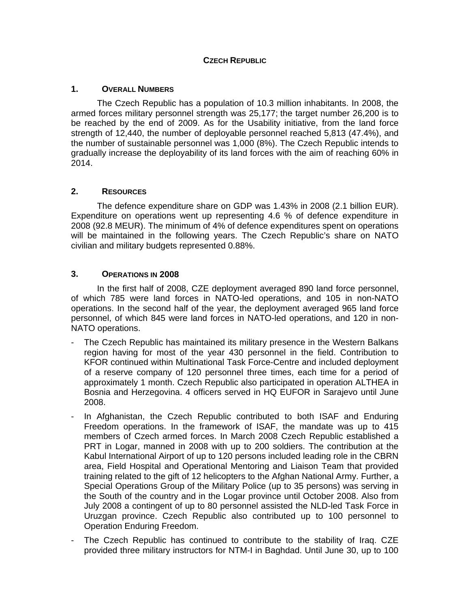# **CZECH REPUBLIC**

# **1. OVERALL NUMBERS**

The Czech Republic has a population of 10.3 million inhabitants. In 2008, the armed forces military personnel strength was 25,177; the target number 26,200 is to be reached by the end of 2009. As for the Usability initiative, from the land force strength of 12,440, the number of deployable personnel reached 5,813 (47.4%), and the number of sustainable personnel was 1,000 (8%). The Czech Republic intends to gradually increase the deployability of its land forces with the aim of reaching 60% in 2014.

## **2. RESOURCES**

The defence expenditure share on GDP was 1.43% in 2008 (2.1 billion EUR). Expenditure on operations went up representing 4.6 % of defence expenditure in 2008 (92.8 MEUR). The minimum of 4% of defence expenditures spent on operations will be maintained in the following years. The Czech Republic's share on NATO civilian and military budgets represented 0.88%.

## **3. OPERATIONS IN 2008**

In the first half of 2008, CZE deployment averaged 890 land force personnel, of which 785 were land forces in NATO-led operations, and 105 in non-NATO operations. In the second half of the year, the deployment averaged 965 land force personnel, of which 845 were land forces in NATO-led operations, and 120 in non-NATO operations.

- The Czech Republic has maintained its military presence in the Western Balkans region having for most of the year 430 personnel in the field. Contribution to KFOR continued within Multinational Task Force-Centre and included deployment of a reserve company of 120 personnel three times, each time for a period of approximately 1 month. Czech Republic also participated in operation ALTHEA in Bosnia and Herzegovina. 4 officers served in HQ EUFOR in Sarajevo until June 2008.
- In Afghanistan, the Czech Republic contributed to both ISAF and Enduring Freedom operations. In the framework of ISAF, the mandate was up to 415 members of Czech armed forces. In March 2008 Czech Republic established a PRT in Logar, manned in 2008 with up to 200 soldiers. The contribution at the Kabul International Airport of up to 120 persons included leading role in the CBRN area, Field Hospital and Operational Mentoring and Liaison Team that provided training related to the gift of 12 helicopters to the Afghan National Army. Further, a Special Operations Group of the Military Police (up to 35 persons) was serving in the South of the country and in the Logar province until October 2008. Also from July 2008 a contingent of up to 80 personnel assisted the NLD-led Task Force in Uruzgan province. Czech Republic also contributed up to 100 personnel to Operation Enduring Freedom.
- The Czech Republic has continued to contribute to the stability of Iraq. CZE provided three military instructors for NTM-I in Baghdad. Until June 30, up to 100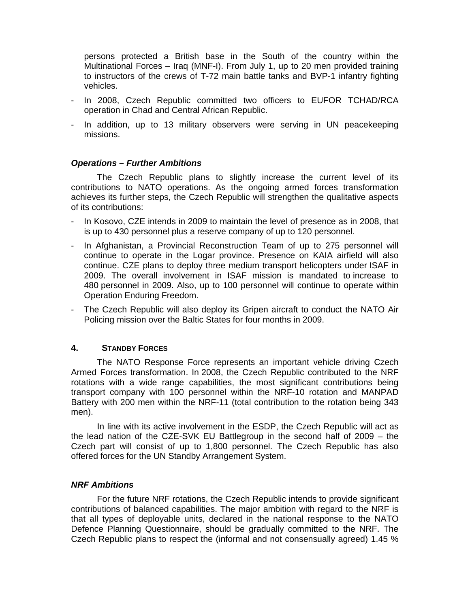persons protected a British base in the South of the country within the Multinational Forces – Iraq (MNF-I). From July 1, up to 20 men provided training to instructors of the crews of T-72 main battle tanks and BVP-1 infantry fighting vehicles.

- In 2008, Czech Republic committed two officers to EUFOR TCHAD/RCA operation in Chad and Central African Republic.
- In addition, up to 13 military observers were serving in UN peacekeeping missions.

## *Operations – Further Ambitions*

The Czech Republic plans to slightly increase the current level of its contributions to NATO operations. As the ongoing armed forces transformation achieves its further steps, the Czech Republic will strengthen the qualitative aspects of its contributions:

- In Kosovo, CZE intends in 2009 to maintain the level of presence as in 2008, that is up to 430 personnel plus a reserve company of up to 120 personnel.
- In Afghanistan, a Provincial Reconstruction Team of up to 275 personnel will continue to operate in the Logar province. Presence on KAIA airfield will also continue. CZE plans to deploy three medium transport helicopters under ISAF in 2009. The overall involvement in ISAF mission is mandated to increase to 480 personnel in 2009. Also, up to 100 personnel will continue to operate within Operation Enduring Freedom.
- The Czech Republic will also deploy its Gripen aircraft to conduct the NATO Air Policing mission over the Baltic States for four months in 2009.

### **4. STANDBY FORCES**

The NATO Response Force represents an important vehicle driving Czech Armed Forces transformation. In 2008, the Czech Republic contributed to the NRF rotations with a wide range capabilities, the most significant contributions being transport company with 100 personnel within the NRF-10 rotation and MANPAD Battery with 200 men within the NRF-11 (total contribution to the rotation being 343 men).

In line with its active involvement in the ESDP, the Czech Republic will act as the lead nation of the CZE-SVK EU Battlegroup in the second half of 2009 – the Czech part will consist of up to 1,800 personnel. The Czech Republic has also offered forces for the UN Standby Arrangement System.

### *NRF Ambitions*

For the future NRF rotations, the Czech Republic intends to provide significant contributions of balanced capabilities. The major ambition with regard to the NRF is that all types of deployable units, declared in the national response to the NATO Defence Planning Questionnaire, should be gradually committed to the NRF. The Czech Republic plans to respect the (informal and not consensually agreed) 1.45 %